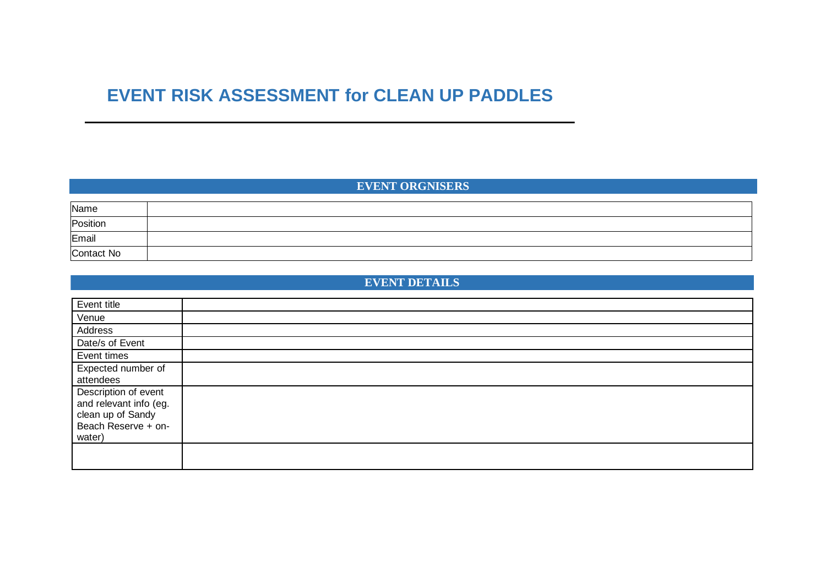# **EVENT RISK ASSESSMENT for CLEAN UP PADDLES**

# **EVENT ORGNISERS**

| Name       |  |
|------------|--|
| Position   |  |
| Email      |  |
| Contact No |  |

# **EVENT DETAILS**

| Event title                                                                                          |  |
|------------------------------------------------------------------------------------------------------|--|
| Venue                                                                                                |  |
| Address                                                                                              |  |
| Date/s of Event                                                                                      |  |
| Event times                                                                                          |  |
| Expected number of<br>attendees                                                                      |  |
| Description of event<br>and relevant info (eg.<br>clean up of Sandy<br>Beach Reserve + on-<br>water) |  |
|                                                                                                      |  |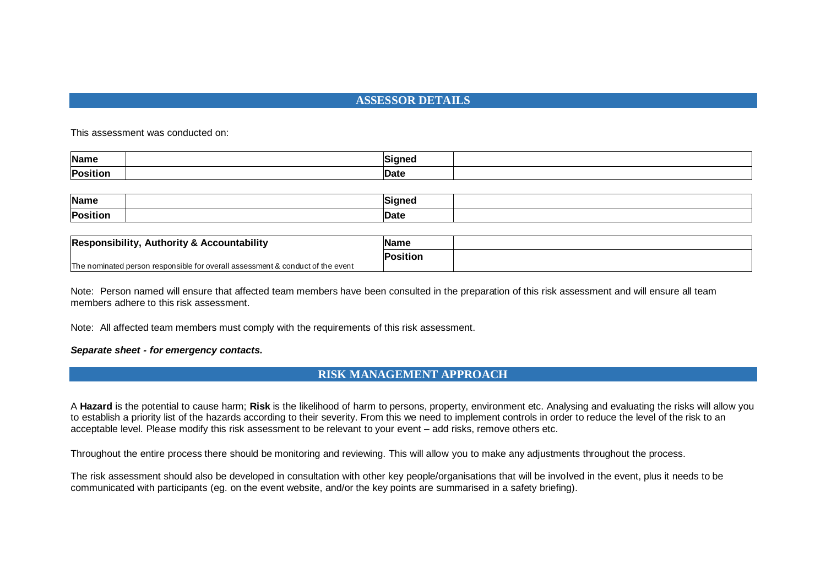## **ASSESSOR DETAILS**

This assessment was conducted on:

| <b>Name</b>     | Sianea |  |
|-----------------|--------|--|
| <b>Position</b> | Date.  |  |

| Name          | unnar. |  |
|---------------|--------|--|
| <b>Positi</b> |        |  |

| Authority & Accountability<br>Responsibility,                                  | <b>Name</b>     |  |
|--------------------------------------------------------------------------------|-----------------|--|
|                                                                                | <b>Position</b> |  |
| The nominated person responsible for overall assessment & conduct of the event |                 |  |

Note: Person named will ensure that affected team members have been consulted in the preparation of this risk assessment and will ensure all team members adhere to this risk assessment.

Note: All affected team members must comply with the requirements of this risk assessment.

### *Separate sheet - for emergency contacts.*

### **RISK MANAGEMENT APPROACH**

A **Hazard** is the potential to cause harm; **Risk** is the likelihood of harm to persons, property, environment etc. Analysing and evaluating the risks will allow you to establish a priority list of the hazards according to their severity. From this we need to implement controls in order to reduce the level of the risk to an acceptable level. Please modify this risk assessment to be relevant to your event – add risks, remove others etc.

Throughout the entire process there should be monitoring and reviewing. This will allow you to make any adjustments throughout the process.

The risk assessment should also be developed in consultation with other key people/organisations that will be involved in the event, plus it needs to be communicated with participants (eg. on the event website, and/or the key points are summarised in a safety briefing).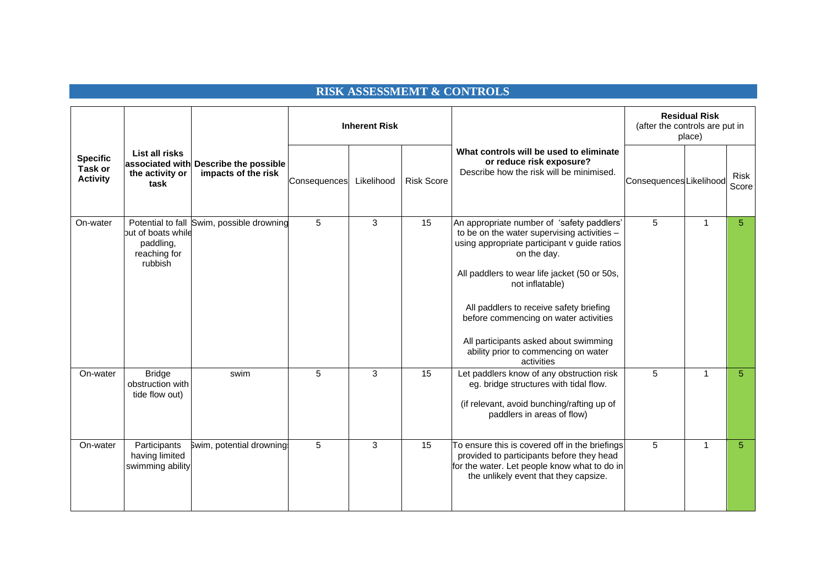# **RISK ASSESSMEMT & CONTROLS**

|                                               |                                                                                 |                                                              | <b>Inherent Risk</b> |            |                   |                                                                                                                                                                                                                                                                                                                                                                                                                | <b>Residual Risk</b><br>(after the controls are put in<br>place) |   |                      |
|-----------------------------------------------|---------------------------------------------------------------------------------|--------------------------------------------------------------|----------------------|------------|-------------------|----------------------------------------------------------------------------------------------------------------------------------------------------------------------------------------------------------------------------------------------------------------------------------------------------------------------------------------------------------------------------------------------------------------|------------------------------------------------------------------|---|----------------------|
| <b>Specific</b><br>Task or<br><b>Activity</b> | List all risks<br>the activity or<br>task                                       | associated with Describe the possible<br>impacts of the risk | Consequences         | Likelihood | <b>Risk Score</b> | What controls will be used to eliminate<br>or reduce risk exposure?<br>Describe how the risk will be minimised.                                                                                                                                                                                                                                                                                                | Consequences Likelihood                                          |   | <b>Risk</b><br>Score |
| On-water                                      | Potential to fall<br>but of boats while<br>paddling,<br>reaching for<br>rubbish | Swim, possible drowning                                      | 5                    | 3          | 15                | An appropriate number of 'safety paddlers'<br>to be on the water supervising activities -<br>using appropriate participant v guide ratios<br>on the day.<br>All paddlers to wear life jacket (50 or 50s,<br>not inflatable)<br>All paddlers to receive safety briefing<br>before commencing on water activities<br>All participants asked about swimming<br>ability prior to commencing on water<br>activities | 5                                                                | 1 | 5                    |
| On-water                                      | <b>Bridge</b><br>obstruction with<br>tide flow out)                             | swim                                                         | 5                    | 3          | 15                | Let paddlers know of any obstruction risk<br>eg. bridge structures with tidal flow.<br>(if relevant, avoid bunching/rafting up of<br>paddlers in areas of flow)                                                                                                                                                                                                                                                | 5                                                                | 1 | 5                    |
| On-water                                      | Participants<br>having limited<br>swimming ability                              | Swim, potential drowning:                                    | 5                    | 3          | 15                | To ensure this is covered off in the briefings<br>provided to participants before they head<br>for the water. Let people know what to do in<br>the unlikely event that they capsize.                                                                                                                                                                                                                           | 5                                                                | 1 | 5                    |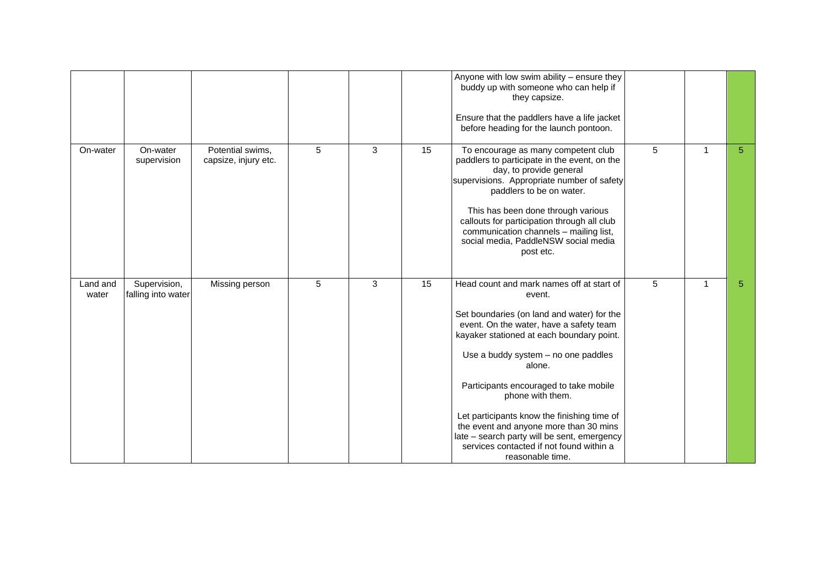|                   |                                    |                                          |   |   |    | Anyone with low swim ability - ensure they<br>buddy up with someone who can help if<br>they capsize.<br>Ensure that the paddlers have a life jacket<br>before heading for the launch pontoon.                                                                                                                                                                                                                                                                                                                    |   |              |   |
|-------------------|------------------------------------|------------------------------------------|---|---|----|------------------------------------------------------------------------------------------------------------------------------------------------------------------------------------------------------------------------------------------------------------------------------------------------------------------------------------------------------------------------------------------------------------------------------------------------------------------------------------------------------------------|---|--------------|---|
| On-water          | On-water<br>supervision            | Potential swims,<br>capsize, injury etc. | 5 | 3 | 15 | To encourage as many competent club<br>paddlers to participate in the event, on the<br>day, to provide general<br>supervisions. Appropriate number of safety<br>paddlers to be on water.<br>This has been done through various<br>callouts for participation through all club<br>communication channels - mailing list,<br>social media, PaddleNSW social media<br>post etc.                                                                                                                                     | 5 | 1            | 5 |
| Land and<br>water | Supervision,<br>falling into water | Missing person                           | 5 | 3 | 15 | Head count and mark names off at start of<br>event.<br>Set boundaries (on land and water) for the<br>event. On the water, have a safety team<br>kayaker stationed at each boundary point.<br>Use a buddy system - no one paddles<br>alone.<br>Participants encouraged to take mobile<br>phone with them.<br>Let participants know the finishing time of<br>the event and anyone more than 30 mins<br>late - search party will be sent, emergency<br>services contacted if not found within a<br>reasonable time. | 5 | $\mathbf{1}$ | 5 |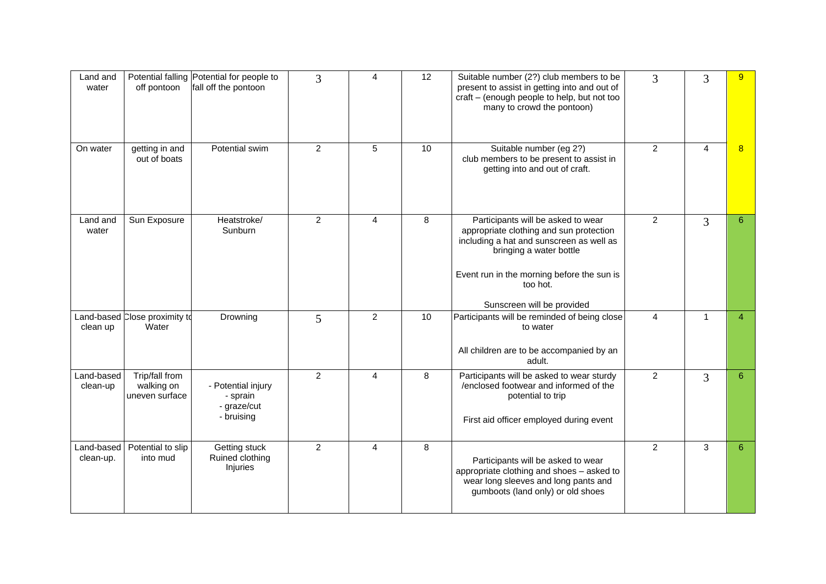| Land and<br>water       | off pontoon                                    | Potential falling Potential for people to<br>fall off the pontoon | 3              | 4              | 12 | Suitable number (2?) club members to be<br>present to assist in getting into and out of<br>craft - (enough people to help, but not too<br>many to crowd the pontoon)                                                                         | 3              | 3            | 9              |
|-------------------------|------------------------------------------------|-------------------------------------------------------------------|----------------|----------------|----|----------------------------------------------------------------------------------------------------------------------------------------------------------------------------------------------------------------------------------------------|----------------|--------------|----------------|
| On water                | getting in and<br>out of boats                 | Potential swim                                                    | 2              | 5              | 10 | Suitable number (eg 2?)<br>club members to be present to assist in<br>getting into and out of craft.                                                                                                                                         | $\overline{2}$ | 4            | 8              |
| Land and<br>water       | Sun Exposure                                   | Heatstroke/<br>Sunburn                                            | $\overline{2}$ | $\overline{4}$ | 8  | Participants will be asked to wear<br>appropriate clothing and sun protection<br>including a hat and sunscreen as well as<br>bringing a water bottle<br>Event run in the morning before the sun is<br>too hot.<br>Sunscreen will be provided | $\overline{2}$ | 3            | $6^{\circ}$    |
| clean up                | Land-based Close proximity to<br>Water         | Drowning                                                          | 5              | $\overline{2}$ | 10 | Participants will be reminded of being close<br>to water<br>All children are to be accompanied by an<br>adult.                                                                                                                               | 4              | $\mathbf{1}$ | $\overline{4}$ |
| Land-based<br>clean-up  | Trip/fall from<br>walking on<br>uneven surface | - Potential injury<br>- sprain<br>- graze/cut<br>- bruising       | $\overline{2}$ | 4              | 8  | Participants will be asked to wear sturdy<br>/enclosed footwear and informed of the<br>potential to trip<br>First aid officer employed during event                                                                                          | $\overline{2}$ | 3            | 6              |
| Land-based<br>clean-up. | Potential to slip<br>into mud                  | Getting stuck<br>Ruined clothing<br>Injuries                      | $\overline{2}$ | 4              | 8  | Participants will be asked to wear<br>appropriate clothing and shoes - asked to<br>wear long sleeves and long pants and<br>gumboots (land only) or old shoes                                                                                 | $\overline{2}$ | 3            | $6^{\circ}$    |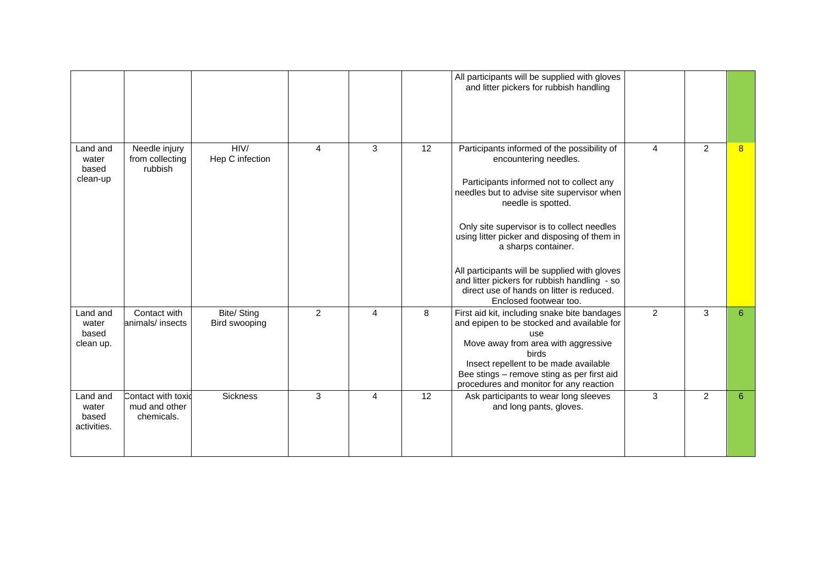|                                           |                                                   |                              |                         |   |    | All participants will be supplied with gloves<br>and litter pickers for rubbish handling                                                                                                                                                                                                                                                                                                                                                                                          |                |                |   |
|-------------------------------------------|---------------------------------------------------|------------------------------|-------------------------|---|----|-----------------------------------------------------------------------------------------------------------------------------------------------------------------------------------------------------------------------------------------------------------------------------------------------------------------------------------------------------------------------------------------------------------------------------------------------------------------------------------|----------------|----------------|---|
| Land and<br>water<br>based<br>clean-up    | Needle injury<br>from collecting<br>rubbish       | HIV/<br>Hep C infection      | $\overline{\mathbf{4}}$ | 3 | 12 | Participants informed of the possibility of<br>encountering needles.<br>Participants informed not to collect any<br>needles but to advise site supervisor when<br>needle is spotted.<br>Only site supervisor is to collect needles<br>using litter picker and disposing of them in<br>a sharps container.<br>All participants will be supplied with gloves<br>and litter pickers for rubbish handling - so<br>direct use of hands on litter is reduced.<br>Enclosed footwear too. | $\overline{4}$ | $\overline{2}$ | 8 |
| Land and<br>water<br>based<br>clean up.   | Contact with<br>animals/ insects                  | Bite/ Sting<br>Bird swooping | 2                       | 4 | 8  | First aid kit, including snake bite bandages<br>and epipen to be stocked and available for<br>use<br>Move away from area with aggressive<br>birds<br>Insect repellent to be made available<br>Bee stings - remove sting as per first aid<br>procedures and monitor for any reaction                                                                                                                                                                                               | $\overline{2}$ | 3              | 6 |
| Land and<br>water<br>based<br>activities. | Contact with toxid<br>mud and other<br>chemicals. | <b>Sickness</b>              | 3                       | 4 | 12 | Ask participants to wear long sleeves<br>and long pants, gloves.                                                                                                                                                                                                                                                                                                                                                                                                                  | 3              | 2              | 6 |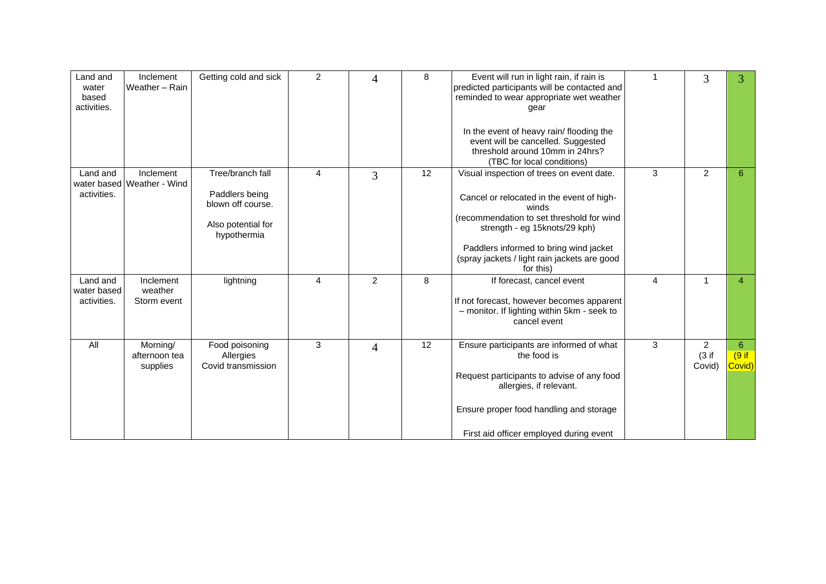| Land and<br>water<br>based<br>activities. | Inclement<br>Weather - Rain             | Getting cold and sick                                                                        | 2              | 4              | 8  | Event will run in light rain, if rain is<br>predicted participants will be contacted and<br>reminded to wear appropriate wet weather<br>gear                                                                                                                                         | 1 | 3                                 | 3                              |
|-------------------------------------------|-----------------------------------------|----------------------------------------------------------------------------------------------|----------------|----------------|----|--------------------------------------------------------------------------------------------------------------------------------------------------------------------------------------------------------------------------------------------------------------------------------------|---|-----------------------------------|--------------------------------|
|                                           |                                         |                                                                                              |                |                |    | In the event of heavy rain/ flooding the<br>event will be cancelled. Suggested<br>threshold around 10mm in 24hrs?<br>(TBC for local conditions)                                                                                                                                      |   |                                   |                                |
| Land and<br>activities.                   | Inclement<br>water based Weather - Wind | Tree/branch fall<br>Paddlers being<br>blown off course.<br>Also potential for<br>hypothermia | $\overline{4}$ | 3              | 12 | Visual inspection of trees on event date.<br>Cancel or relocated in the event of high-<br>winds<br>(recommendation to set threshold for wind<br>strength - eg 15knots/29 kph)<br>Paddlers informed to bring wind jacket<br>(spray jackets / light rain jackets are good<br>for this) | 3 | $\overline{2}$                    | 6                              |
| Land and<br>water based<br>activities.    | Inclement<br>weather<br>Storm event     | lightning                                                                                    | $\overline{4}$ | $\overline{2}$ | 8  | If forecast, cancel event<br>If not forecast, however becomes apparent<br>- monitor. If lighting within 5km - seek to<br>cancel event                                                                                                                                                | 4 | $\mathbf{1}$                      | 4                              |
| All                                       | Morning/<br>afternoon tea<br>supplies   | Food poisoning<br>Allergies<br>Covid transmission                                            | 3              | $\overline{4}$ | 12 | Ensure participants are informed of what<br>the food is<br>Request participants to advise of any food<br>allergies, if relevant.<br>Ensure proper food handling and storage<br>First aid officer employed during event                                                               | 3 | $\overline{2}$<br>(3 if<br>Covid) | $6^{\circ}$<br>(9 if<br>Covid) |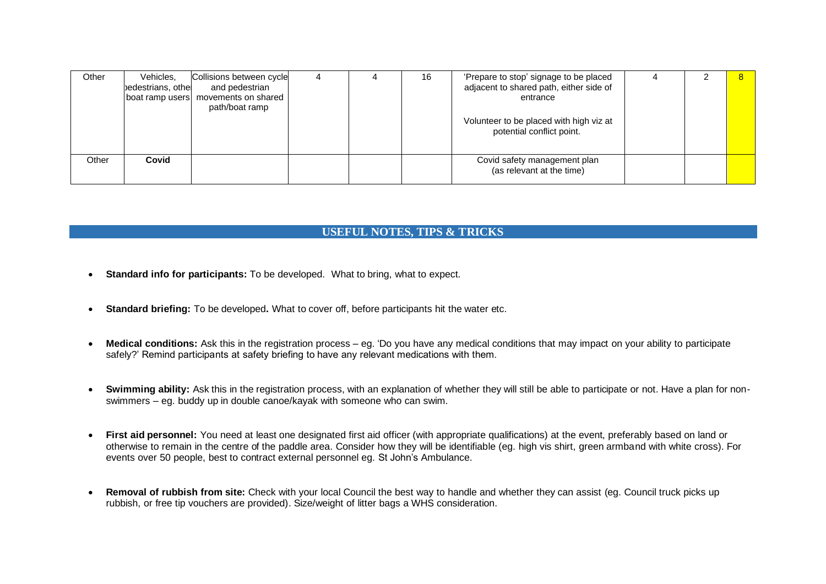| Other | Vehicles,<br>bedestrians, othe | Collisions between cycle<br>and pedestrian<br>boat ramp users   movements on shared<br>path/boat ramp |  | 16 | 'Prepare to stop' signage to be placed<br>adjacent to shared path, either side of<br>entrance |  |  |
|-------|--------------------------------|-------------------------------------------------------------------------------------------------------|--|----|-----------------------------------------------------------------------------------------------|--|--|
|       |                                |                                                                                                       |  |    | Volunteer to be placed with high viz at<br>potential conflict point.                          |  |  |
| Other | Covid                          |                                                                                                       |  |    | Covid safety management plan<br>(as relevant at the time)                                     |  |  |

### **USEFUL NOTES, TIPS & TRICKS**

- **Standard info for participants:** To be developed. What to bring, what to expect.
- **Standard briefing:** To be developed**.** What to cover off, before participants hit the water etc.
- **Medical conditions:** Ask this in the registration process eg. 'Do you have any medical conditions that may impact on your ability to participate safely?' Remind participants at safety briefing to have any relevant medications with them.
- **Swimming ability:** Ask this in the registration process, with an explanation of whether they will still be able to participate or not. Have a plan for nonswimmers – eg. buddy up in double canoe/kayak with someone who can swim.
- **First aid personnel:** You need at least one designated first aid officer (with appropriate qualifications) at the event, preferably based on land or otherwise to remain in the centre of the paddle area. Consider how they will be identifiable (eg. high vis shirt, green armband with white cross). For events over 50 people, best to contract external personnel eg. St John's Ambulance.
- **Removal of rubbish from site:** Check with your local Council the best way to handle and whether they can assist (eg. Council truck picks up rubbish, or free tip vouchers are provided). Size/weight of litter bags a WHS consideration.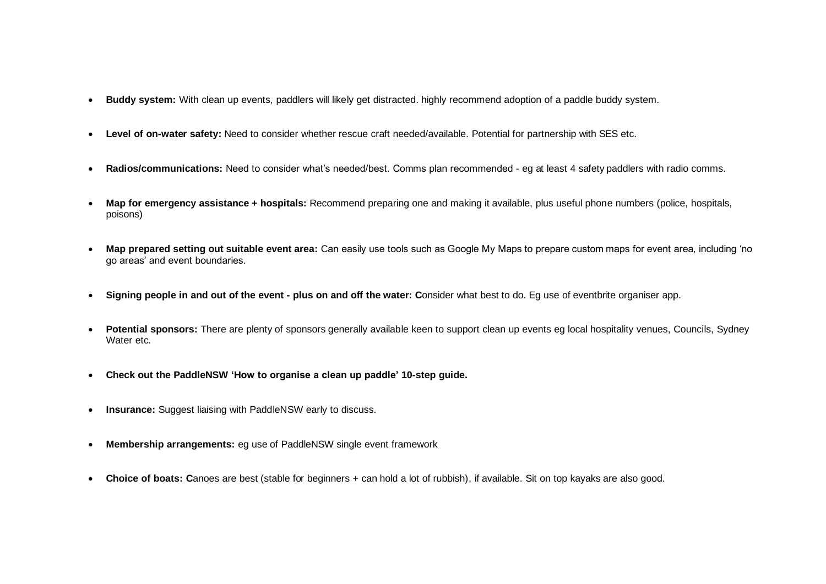- **Buddy system:** With clean up events, paddlers will likely get distracted. highly recommend adoption of a paddle buddy system.
- **Level of on-water safety:** Need to consider whether rescue craft needed/available. Potential for partnership with SES etc.
- **Radios/communications:** Need to consider what's needed/best. Comms plan recommended eg at least 4 safety paddlers with radio comms.
- **Map for emergency assistance + hospitals:** Recommend preparing one and making it available, plus useful phone numbers (police, hospitals, poisons)
- **Map prepared setting out suitable event area:** Can easily use tools such as Google My Maps to prepare custom maps for event area, including 'no go areas' and event boundaries.
- **Signing people in and out of the event - plus on and off the water: C**onsider what best to do. Eg use of eventbrite organiser app.
- **Potential sponsors:** There are plenty of sponsors generally available keen to support clean up events eg local hospitality venues, Councils, Sydney Water etc.
- **Check out the PaddleNSW 'How to organise a clean up paddle' 10-step guide.**
- **Insurance:** Suggest liaising with PaddleNSW early to discuss.
- **Membership arrangements:** eg use of PaddleNSW single event framework
- **Choice of boats: C**anoes are best (stable for beginners + can hold a lot of rubbish), if available. Sit on top kayaks are also good.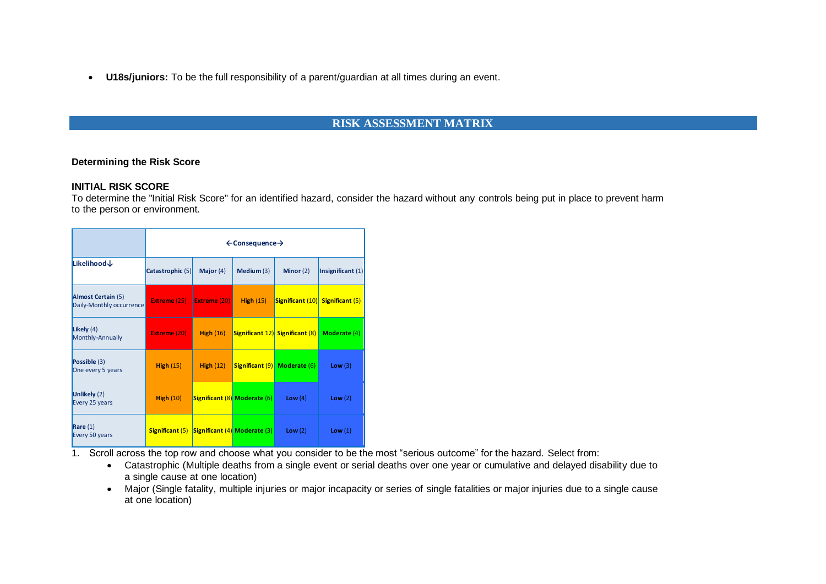• **U18s/juniors:** To be the full responsibility of a parent/guardian at all times during an event.

### **RISK ASSESSMENT MATRIX**

#### **Determining the Risk Score**

#### **INITIAL RISK SCORE**

To determine the "Initial Risk Score" for an identified hazard, consider the hazard without any controls being put in place to prevent harm to the person or environment.

|                                                       |                                                     | $\leftarrow$ Consequence $\rightarrow$ |                                     |                                        |                   |  |  |  |  |  |  |
|-------------------------------------------------------|-----------------------------------------------------|----------------------------------------|-------------------------------------|----------------------------------------|-------------------|--|--|--|--|--|--|
| Likelihood↓                                           | Catastrophic (5)                                    | Major $(4)$                            | Medium (3)                          | Minor $(2)$                            | Insignificant (1) |  |  |  |  |  |  |
| <b>Almost Certain (5)</b><br>Daily-Monthly occurrence | <b>Extreme (25)</b>                                 | Extreme (20)                           | High $(15)$                         | Significant (10) Significant (5)       |                   |  |  |  |  |  |  |
| Likely $(4)$<br>Monthly-Annually                      | <b>Extreme (20)</b>                                 | High $(16)$                            |                                     | <b>Significant 12)</b> Significant (8) | Moderate (4)      |  |  |  |  |  |  |
| Possible (3)<br>One every 5 years                     | High $(15)$                                         | High $(12)$                            |                                     | <b>Significant (9)</b> Moderate (6)    | Low(3)            |  |  |  |  |  |  |
| Unlikely (2)<br>Every 25 years                        | High $(10)$                                         |                                        | <b>Significant (8) Moderate (6)</b> | Low $(4)$                              | Low(2)            |  |  |  |  |  |  |
| Rare $(1)$<br>Every 50 years                          | <b>Significant (5) Significant (4) Moderate (3)</b> |                                        |                                     | Low $(2)$                              | Low(1)            |  |  |  |  |  |  |

1. Scroll across the top row and choose what you consider to be the most "serious outcome" for the hazard. Select from:

- Catastrophic (Multiple deaths from a single event or serial deaths over one year or cumulative and delayed disability due to a single cause at one location)
- Major (Single fatality, multiple injuries or major incapacity or series of single fatalities or major injuries due to a single cause at one location)